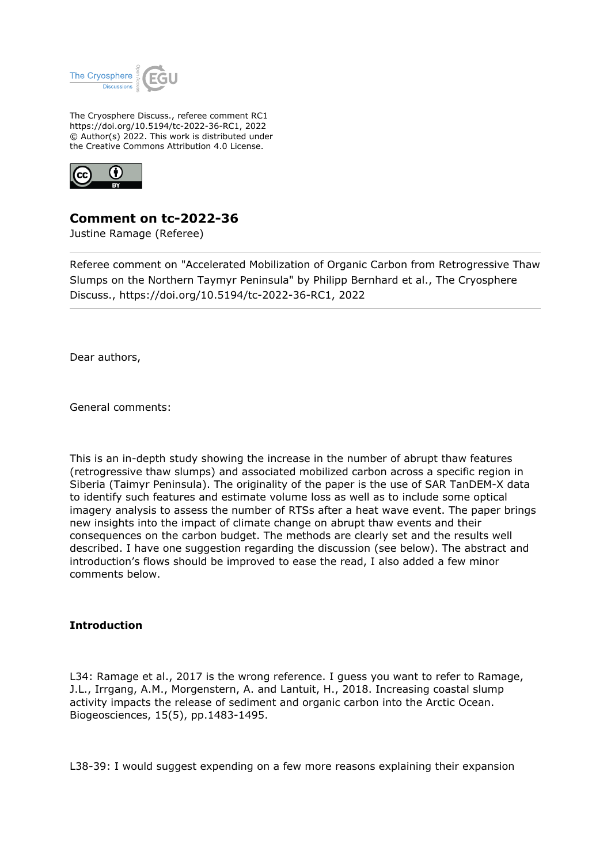

The Cryosphere Discuss., referee comment RC1 https://doi.org/10.5194/tc-2022-36-RC1, 2022 © Author(s) 2022. This work is distributed under the Creative Commons Attribution 4.0 License.



**Comment on tc-2022-36**

Justine Ramage (Referee)

Referee comment on "Accelerated Mobilization of Organic Carbon from Retrogressive Thaw Slumps on the Northern Taymyr Peninsula" by Philipp Bernhard et al., The Cryosphere Discuss., https://doi.org/10.5194/tc-2022-36-RC1, 2022

Dear authors,

General comments:

This is an in-depth study showing the increase in the number of abrupt thaw features (retrogressive thaw slumps) and associated mobilized carbon across a specific region in Siberia (Taimyr Peninsula). The originality of the paper is the use of SAR TanDEM-X data to identify such features and estimate volume loss as well as to include some optical imagery analysis to assess the number of RTSs after a heat wave event. The paper brings new insights into the impact of climate change on abrupt thaw events and their consequences on the carbon budget. The methods are clearly set and the results well described. I have one suggestion regarding the discussion (see below). The abstract and introduction's flows should be improved to ease the read, I also added a few minor comments below.

## **Introduction**

L34: Ramage et al., 2017 is the wrong reference. I guess you want to refer to Ramage, J.L., Irrgang, A.M., Morgenstern, A. and Lantuit, H., 2018. Increasing coastal slump activity impacts the release of sediment and organic carbon into the Arctic Ocean. Biogeosciences, 15(5), pp.1483-1495.

L38-39: I would suggest expending on a few more reasons explaining their expansion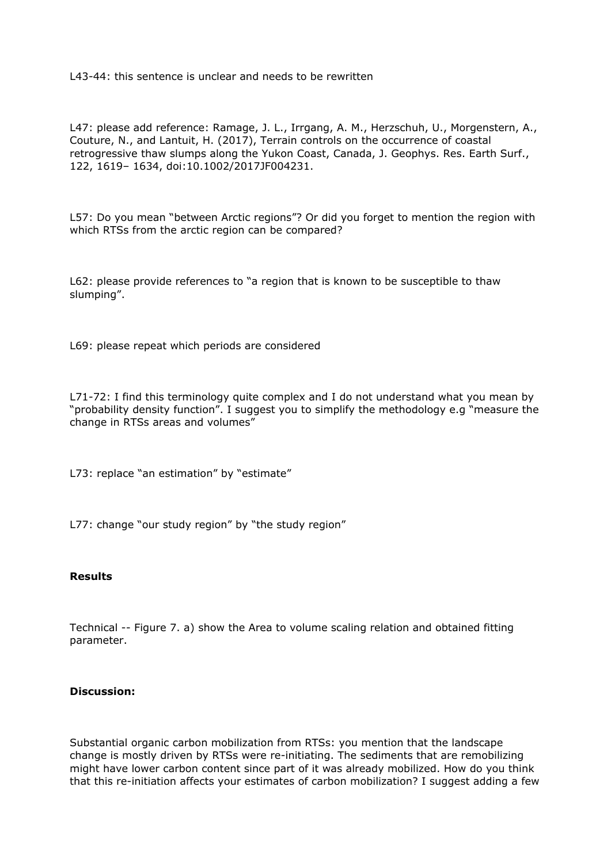L43-44: this sentence is unclear and needs to be rewritten

L47: please add reference: Ramage, J. L., Irrgang, A. M., Herzschuh, U., Morgenstern, A., Couture, N., and Lantuit, H. (2017), Terrain controls on the occurrence of coastal retrogressive thaw slumps along the Yukon Coast, Canada, J. Geophys. Res. Earth Surf., 122, 1619– 1634, doi:10.1002/2017JF004231.

L57: Do you mean "between Arctic regions"? Or did you forget to mention the region with which RTSs from the arctic region can be compared?

L62: please provide references to "a region that is known to be susceptible to thaw slumping".

L69: please repeat which periods are considered

L71-72: I find this terminology quite complex and I do not understand what you mean by "probability density function". I suggest you to simplify the methodology e.g "measure the change in RTSs areas and volumes"

L73: replace "an estimation" by "estimate"

L77: change "our study region" by "the study region"

## **Results**

Technical -- Figure 7. a) show the Area to volume scaling relation and obtained fitting parameter.

## **Discussion:**

Substantial organic carbon mobilization from RTSs: you mention that the landscape change is mostly driven by RTSs were re-initiating. The sediments that are remobilizing might have lower carbon content since part of it was already mobilized. How do you think that this re-initiation affects your estimates of carbon mobilization? I suggest adding a few